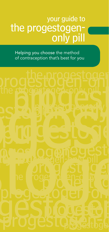# your guide to the progestogenonly pill

Helping you choose the method of contraception that's best for you

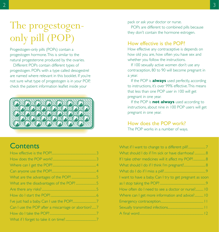The progestogenonly pill (POP)

Progestogen-only pills (POPs) contain a progestogen hormone. This is similar to the natural progesterone produced by the ovaries.

Different POPs contain different types of progestogen. POPs with a type called desogestrel are named where relevant in this booklet. If you're not sure what type of progestogen is in your POP, check the patient information leaflet inside your

# **Contents**

| Can I use the POP after a miscarriage or abortion?7 |  |
|-----------------------------------------------------|--|
|                                                     |  |
|                                                     |  |
|                                                     |  |

pack or ask your doctor or nurse.

POPs are different to combined pills because they don't contain the hormone estrogen.

#### How effective is the POP?

How effective any contraceptive is depends on how old you are, how often you have sex and whether you follow the instructions.

If 100 sexually active women don't use any contraception, 80 to 90 will become pregnant in a year.

If the POP is **always** used perfectly, according to instructions, it's over 99% effective. This means that less than one POP user in 100 will get pregnant in one year.

If the POP is **not always** used according to instructions, about nine in 100 POP users will get pregnant in one year.

#### How does the POP work?

The POP works in a number of ways.

| What should I do if I'm sick or have diarrhoea? 8        |
|----------------------------------------------------------|
|                                                          |
|                                                          |
|                                                          |
| I want to have a baby. Can I try to get pregnant as soon |
|                                                          |
| How often do I need to see a doctor or nurse? 10         |
| Where can I get more information and advice? 10          |
|                                                          |
|                                                          |
|                                                          |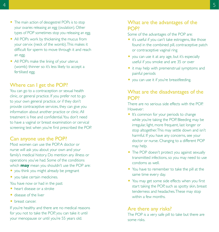- The main action of desogestrel POPs is to stop your ovaries releasing an egg (ovulation). Other types of POP sometimes stop you releasing an egg.
- All POPs work by thickening the mucus from your cervix (neck of the womb). This makes it difficult for sperm to move through it and reach an egg.
- All POPs make the lining of your uterus (womb) thinner so it's less likely to accept a fertilised egg.

#### Where can I get the POP?

You can go to a contraception or sexual health clinic, or general practice. If you prefer not to go to your own general practice, or if they don't provide contraceptive services, they can give you information about another practice or clinic. All treatment is free and confidential. You don't need to have a vaginal or breast examination or cervical screening test when you're first prescribed the POP.

#### Can anyone use the POP?

Most women can use the POP. A doctor or nurse will ask you about your own and your family's medical history. Do mention any illness or operations you've had. Some of the conditions which **may** mean you shouldn't use the POP are:

- you think you might already be pregnant
- you take certain medicines.
- You have now or had in the past:
- O heart disease or a stroke
- O disease of the liver
- O breast cancer.

If you're healthy and there are no medical reasons for you not to take the POP, you can take it until your menopause or until you're 55 years old.

## What are the advantages of the POP?

Some of the advantages of the POP are:

- O it's useful if you can't take estrogens, like those found in the combined pill, contraceptive patch or contraceptive vaginal ring
- O you can use it at any age, but it's especially useful if you smoke and are 35 or over
- it may help with premenstrual symptoms and painful periods
- you can use it if you're breastfeeding.

#### What are the disadvantages of the POP?

There are no serious side effects with the POP. However:

- It's common for your periods to change while you're taking the POP. Bleeding may be irregular, light, more frequent, last longer or stop altogether. This may settle down and isn't harmful. If you have any concerns, see your doctor or nurse. Changing to a different POP may help.
- The POP doesn't protect you against sexually transmitted infections, so you may need to use condoms as well.
- O You have to remember to take the pill at the same time every day.
- You may get some side effects when you first start taking the POP, such as spotty skin, breast tenderness and headaches. These may stop within a few months.

#### Are there any risks?

The POP is a very safe pill to take but there are some risks.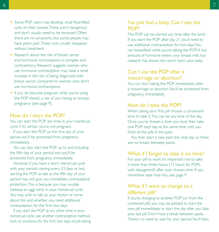- Some POP users may develop small fluid-filled cysts on their ovaries. These aren't dangerous and don't usually need to be removed. Often there are no symptoms, but some people may have pelvic pain. These cysts usually disappear without treatment.
- O Research about the risk of breast cancer and hormonal contraception is complex and contradictory. Research suggests women who use hormonal contraception may have a small increase in the risk of being diagnosed with breast cancer compared to women who don't use hormonal contraception.
- If you do become pregnant while you're using the POP there's a risk of you having an ectopic pregnancy (see page 9).

#### How do I start the POP?

You can start the POP any time in your menstrual cycle if it's certain you're not pregnant.

If you start the POP on the first day of your period you'll be protected from pregnancy immediately.

You can also start the POP up to and including the fifth day of your period and you'll be protected from pregnancy immediately.

However, if you have a short menstrual cycle with your period coming every 23 days or less, starting the POP as late as the fifth day of your period may not give you immediate contraceptive protection. This is because you may ovulate (release an egg) early in your menstrual cycle. You may wish to talk to your doctor or nurse about this and whether you need additional contraception for the first two days.

If you start the POP at any other time in your menstrual cycle, use another contraceptive method, such as condoms, for the first two days of pill-taking.

#### I've just had a baby. Can I use the POP?

The POP can be started any time after the birth. If you start the POP after day 21 you'll need to use additional contraception for two days. You can breastfeed while you're taking the POP. A tiny amount of hormone enters your breast milk, but research has shown this won't harm your baby.

## Can I use the POP after a miscarriage or abortion?

You can start taking the POP immediately after a miscarriage or abortion. You'll be protected from pregnancy immediately.

#### How do I take the POP?

When taking your first pill choose a convenient time to take it. This can be any time of the day. Once you've chosen a time you must then take one POP each day at this same time until you finish all the pills in the pack.

You then start a new pack the next day so there are no breaks between packs.

#### What if I forget to take it on time?

For your pill to work it's important not to take it more than three hours (12 hours for POPs with desogestrel) after your chosen time. If you remember later than this, see page 9.

#### What if I want to change to a different pill?

If you're changing to another POP (or from the combined pill) you may be advised to start the new pill immediately or start the day after you take your last pill. Don't have a break between packs. There's no need to wait for your period. You'll then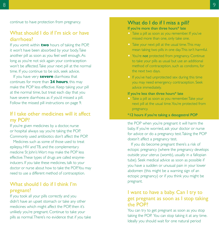continue to have protection from pregnancy.

#### What should I do if I'm sick or have diarrhoea?

If you vomit within **two** hours of taking the POP, it won't have been absorbed by your body. Take another pill as soon as you feel well enough. As long as you're not sick again your contraception won't be affected. Take your next pill at the normal time. If you continue to be sick, seek advice.

If you have very **severe** diarrhoea that continues for more than **24 hours**, this may make the POP less effective. Keep taking your pill at the normal time, but treat each day that you have severe diarrhoea as if you'd missed a pill. Follow the missed pill instructions on page 9.

## If I take other medicines will it affect my POP?

If you're given medicines by a doctor, nurse or hospital always say you're taking the POP. Commonly used antibiotics don't affect the POP.

Medicines such as some of those used to treat epilepsy, HIV and TB, and the complementary medicine St John's Wort may make the POP less effective. These types of drugs are called enzymeinducers. If you take these medicines, talk to your doctor or nurse about how to take the POP. You may need to use a different method of contraception.

## What should I do if I think I'm pregnant?

If you took all your pills correctly and you didn't have an upset stomach or take any other medicines which might affect the POP, then it's unlikely you're pregnant. Continue to take your pills as normal. There's no evidence that if you take

# What do I do if I miss a pill?

#### If you're more than three hours\* late

- O Take a pill as soon as you remember. If you've missed more than one, only take one.
- O Take your next pill at the usual time. This may mean taking two pills in one day. This isn't harmful.
- O You're not protected from pregnancy. Continue to take your pills as usual but use an additional method of contraception, such as condoms, for the next two days.
- O If you've had unprotected sex during this time you may need emergency contraception. Seek advice immediately.

#### If you're less than three hours\* late

- O Take a pill as soon as you remember. Take your next pill at the usual time. You're protected from pregnancy.
- \*12 hours if you're taking a desogestrel POP

the POP when you're pregnant it will harm the baby. If you're worried, ask your doctor or nurse for advice or do a pregnancy test. Taking the POP doesn't affect a pregnancy test.

If you do become pregnant there's a risk of ectopic pregnancy (where the pregnancy develops outside your uterus (womb), usually in a fallopian tube). Seek medical advice as soon as possible if you have a sudden or unusual pain in your lower abdomen (this might be a warning sign of an ectopic pregnancy) or if you think you might be pregnant.

## I want to have a baby. Can I try to get pregnant as soon as I stop taking the POP?

You can try to get pregnant as soon as you stop taking the POP. You can stop taking it at any time. Ideally you should wait for one natural period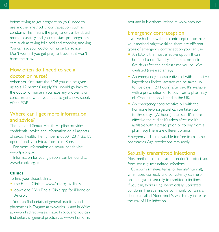before trying to get pregnant, so you'll need to use another method of contraception, such as condoms. This means the pregnancy can be dated more accurately and you can start pre-pregnancy care such as taking folic acid and stopping smoking. You can ask your doctor or nurse for advice. Don't worry if you get pregnant sooner, it won't harm the baby.

### How often do I need to see a doctor or nurse?

When you first start the POP you can be given up to a 12 months' supply. You should go back to the doctor or nurse if you have any problems or concerns and when you need to get a new supply of the POP.

## Where can I get more information and advice?

The National Sexual Health Helpline provides confidential advice and information on all aspects of sexual health. The number is 0300 123 7123. It's open Monday to Friday from 9am-8pm.

For more information on sexual health visit www.fpa.org.uk

Information for young people can be found at www.brook.org.uk

#### **Clinics**

To find your closest clinic:

- O use Find a Clinic at www.fpa.org.uk/clinics
- O download FPA's Find a Clinic app for iPhone or Android.

You can find details of general practices and pharmacies in England at www.nhs.uk and in Wales at www.nhsdirect.wales.nhs.uk. In Scotland you can find details of general practices at www.nhsinform.

scot and in Northern Ireland at www.hscni.net

# Emergency contraception

If you've had sex without contraception, or think your method might've failed, there are different types of emergency contraception you can use.

- An IUD is the most effective option. It can be fitted up to five days after sex, or up to five days after the earliest time you could've ovulated (released an egg).
- An emergency contraceptive pill with the active ingredient ulipristal acetate can be taken up to five days (120 hours) after sex. It's available with a prescription or to buy from a pharmacy. ellaOne is the only brand in the UK.
- An emergency contraceptive pill with the hormone levonorgestrel can be taken up to three days (72 hours) after sex. It's more effective the earlier it's taken after sex. It's available with a prescription or to buy from a pharmacy. There are different brands.

Emergency pills are available for free from some pharmacies. Age restrictions may apply.

# Sexually transmitted infections

Most methods of contraception don't protect you from sexually transmitted infections.

Condoms (male/external or female/internal), when used correctly and consistently, can help protect against sexually transmitted infections. If you can, avoid using spermicidally lubricated condoms. The spermicide commonly contains a chemical called Nonoxinol 9, which may increase the risk of HIV infection.